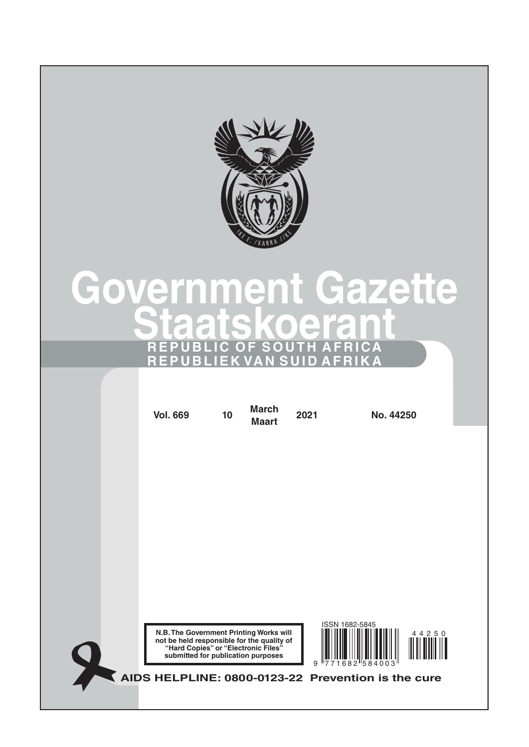

# **Government Gazette Staatskoerant REPUBLIC OF SOUTH AFRICA REPUBLIEK VAN SUID AFRIKA**

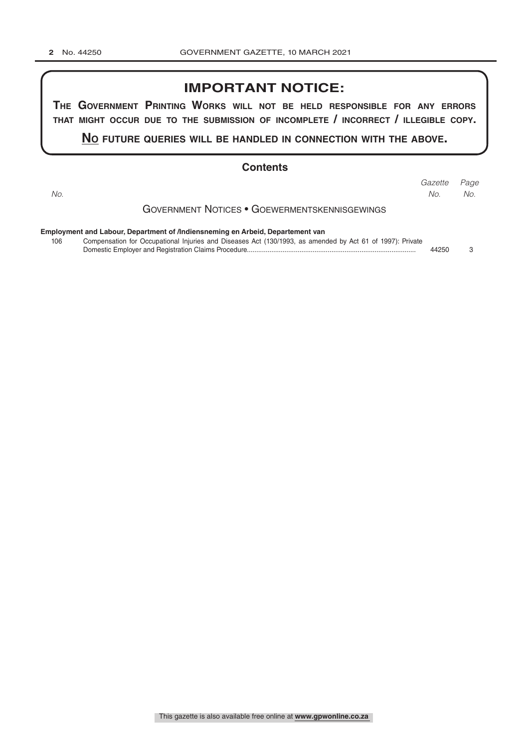#### **IMPORTANT NOTICE:**

**The GovernmenT PrinTinG Works Will noT be held resPonsible for any errors ThaT miGhT occur due To The submission of incomPleTe / incorrecT / illeGible coPy.**

#### **no fuTure queries Will be handled in connecTion WiTh The above.**

#### **Contents**

| ٦ |
|---|

*Page Gazette No. No. No.*

#### Government [Notices • Goewermentskennisgewings](#page-2-0)

#### **[Employment and Labour, Department of /Indiensneming en Arbeid, Departement van](#page-2-0)**

| - 106 | Compensation for Occupational Injuries and Diseases Act (130/1993, as amended by Act 61 of 1997): Private |       |  |
|-------|-----------------------------------------------------------------------------------------------------------|-------|--|
|       | Domestic Employer and Registration Claims Procedure                                                       | 44250 |  |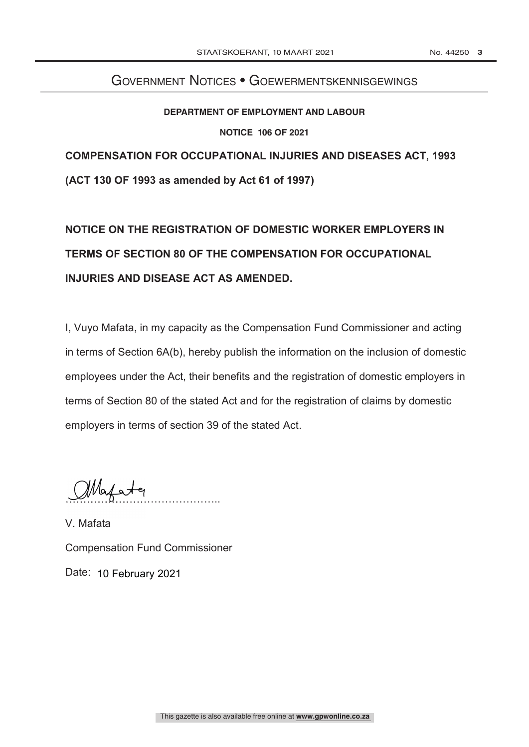## <span id="page-2-0"></span>GOVERNMENT NOTICES · GOEWERMENTSKENNISGEWINGS

#### **DEPARTMENT OF EMPLOYMENT AND LABOUR**

**NOTICE 106 OF 2021** 

**COMPENSATION FOR OCCUPATIONAL INJURIES AND DISEASES ACT, 1993** 

**(ACT 130 OF 1993 as amended by Act 61 of 1997)**

**NOTICE ON THE REGISTRATION OF DOMESTIC WORKER EMPLOYERS IN TERMS OF SECTION 80 OF THE COMPENSATION FOR OCCUPATIONAL INJURIES AND DISEASE ACT AS AMENDED.** 

I, Vuyo Mafata, in my capacity as the Compensation Fund Commissioner and acting in terms of Section 6A(b), hereby publish the information on the inclusion of domestic employees under the Act, their benefits and the registration of domestic employers in terms of Section 80 of the stated Act and for the registration of claims by domestic employers in terms of section 39 of the stated Act.

 $M\sim 1$ 

V. Mafata Compensation Fund Commissioner Date: 10 February 2021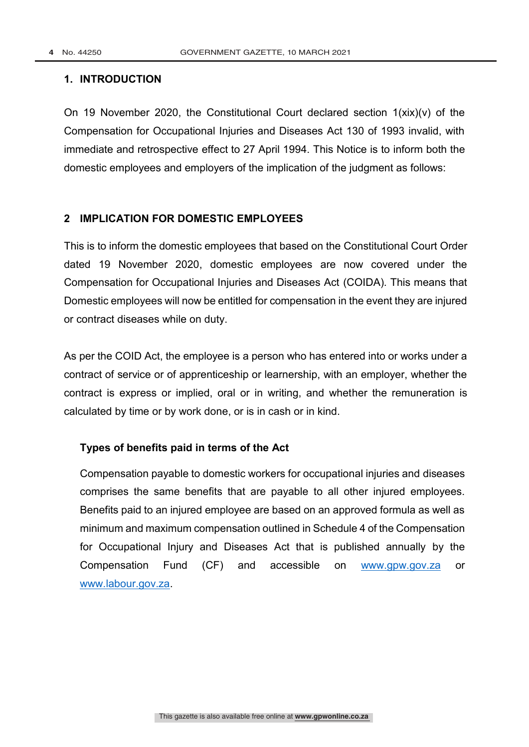#### **1. INTRODUCTION**

On 19 November 2020, the Constitutional Court declared section 1(xix)(v) of the Compensation for Occupational Injuries and Diseases Act 130 of 1993 invalid, with immediate and retrospective effect to 27 April 1994. This Notice is to inform both the domestic employees and employers of the implication of the judgment as follows:

#### **2 IMPLICATION FOR DOMESTIC EMPLOYEES**

This is to inform the domestic employees that based on the Constitutional Court Order dated 19 November 2020, domestic employees are now covered under the Compensation for Occupational Injuries and Diseases Act (COIDA). This means that Domestic employees will now be entitled for compensation in the event they are injured or contract diseases while on duty.

As per the COID Act, the employee is a person who has entered into or works under a contract of service or of apprenticeship or learnership, with an employer, whether the contract is express or implied, oral or in writing, and whether the remuneration is calculated by time or by work done, or is in cash or in kind.

#### **Types of benefits paid in terms of the Act**

Compensation payable to domestic workers for occupational injuries and diseases comprises the same benefits that are payable to all other injured employees. Benefits paid to an injured employee are based on an approved formula as well as minimum and maximum compensation outlined in Schedule 4 of the Compensation for Occupational Injury and Diseases Act that is published annually by the Compensation Fund (CF) and accessible on www.gpw.gov.za or www.labour.gov.za.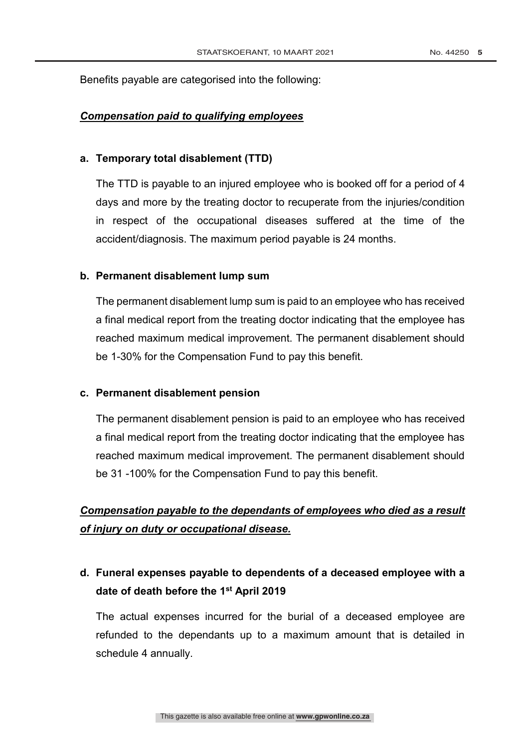Benefits payable are categorised into the following:

#### *Compensation paid to qualifying employees*

#### **a. Temporary total disablement (TTD)**

The TTD is payable to an injured employee who is booked off for a period of 4 days and more by the treating doctor to recuperate from the injuries/condition in respect of the occupational diseases suffered at the time of the accident/diagnosis. The maximum period payable is 24 months.

#### **b. Permanent disablement lump sum**

The permanent disablement lump sum is paid to an employee who has received a final medical report from the treating doctor indicating that the employee has reached maximum medical improvement. The permanent disablement should be 1-30% for the Compensation Fund to pay this benefit.

#### **c. Permanent disablement pension**

The permanent disablement pension is paid to an employee who has received a final medical report from the treating doctor indicating that the employee has reached maximum medical improvement. The permanent disablement should be 31 -100% for the Compensation Fund to pay this benefit.

## *Compensation payable to the dependants of employees who died as a result of injury on duty or occupational disease.*

**d. Funeral expenses payable to dependents of a deceased employee with a date of death before the 1st April 2019**

The actual expenses incurred for the burial of a deceased employee are refunded to the dependants up to a maximum amount that is detailed in schedule 4 annually.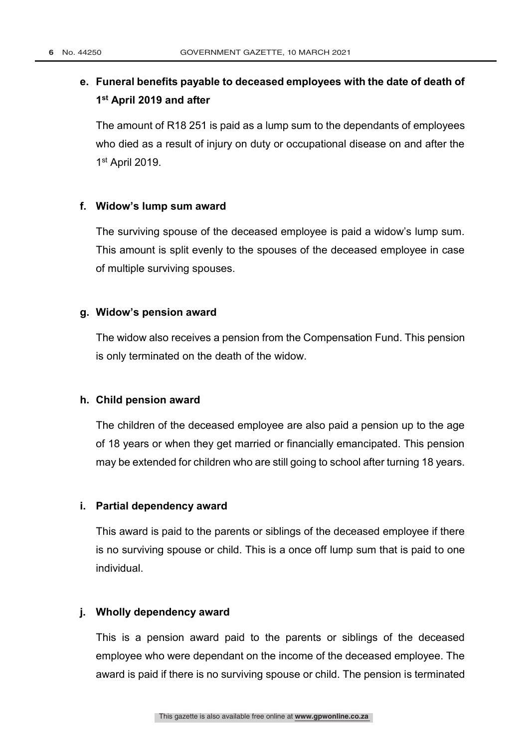## **e. Funeral benefits payable to deceased employees with the date of death of 1st April 2019 and after**

The amount of R18 251 is paid as a lump sum to the dependants of employees who died as a result of injury on duty or occupational disease on and after the 1st April 2019.

#### **f. Widow's lump sum award**

The surviving spouse of the deceased employee is paid a widow's lump sum. This amount is split evenly to the spouses of the deceased employee in case of multiple surviving spouses.

#### **g. Widow's pension award**

The widow also receives a pension from the Compensation Fund. This pension is only terminated on the death of the widow.

#### **h. Child pension award**

The children of the deceased employee are also paid a pension up to the age of 18 years or when they get married or financially emancipated. This pension may be extended for children who are still going to school after turning 18 years.

#### **i. Partial dependency award**

This award is paid to the parents or siblings of the deceased employee if there is no surviving spouse or child. This is a once off lump sum that is paid to one individual.

#### **j. Wholly dependency award**

This is a pension award paid to the parents or siblings of the deceased employee who were dependant on the income of the deceased employee. The award is paid if there is no surviving spouse or child. The pension is terminated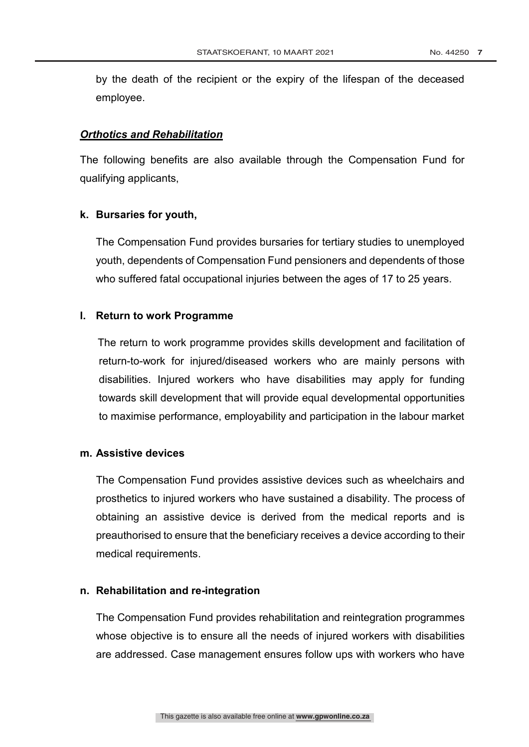by the death of the recipient or the expiry of the lifespan of the deceased employee.

#### *Orthotics and Rehabilitation*

The following benefits are also available through the Compensation Fund for qualifying applicants,

#### **k. Bursaries for youth,**

The Compensation Fund provides bursaries for tertiary studies to unemployed youth, dependents of Compensation Fund pensioners and dependents of those who suffered fatal occupational injuries between the ages of 17 to 25 years.

#### **l. Return to work Programme**

 The return to work programme provides skills development and facilitation of return-to-work for injured/diseased workers who are mainly persons with disabilities. Injured workers who have disabilities may apply for funding towards skill development that will provide equal developmental opportunities to maximise performance, employability and participation in the labour market

#### **m. Assistive devices**

The Compensation Fund provides assistive devices such as wheelchairs and prosthetics to injured workers who have sustained a disability. The process of obtaining an assistive device is derived from the medical reports and is preauthorised to ensure that the beneficiary receives a device according to their medical requirements.

#### **n. Rehabilitation and re-integration**

The Compensation Fund provides rehabilitation and reintegration programmes whose objective is to ensure all the needs of injured workers with disabilities are addressed. Case management ensures follow ups with workers who have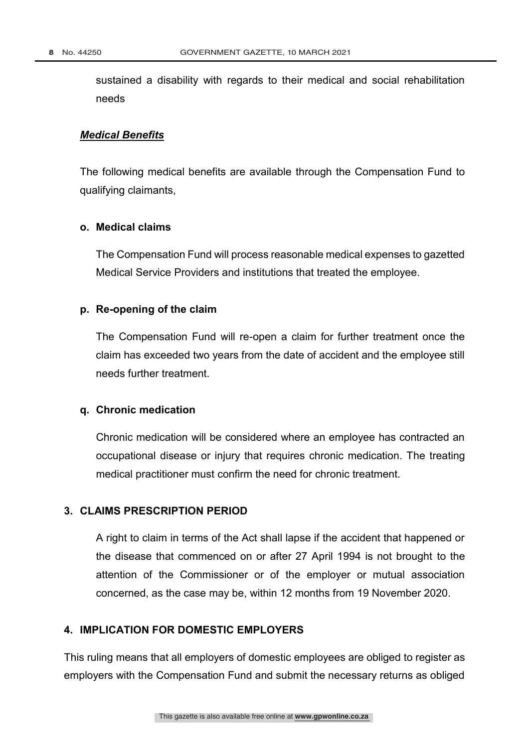sustained a disability with regards to their medical and social rehabilitation needs

#### *Medical Benefits*

The following medical benefits are available through the Compensation Fund to qualifying claimants,

#### **o. Medical claims**

The Compensation Fund will process reasonable medical expenses to gazetted Medical Service Providers and institutions that treated the employee.

#### **p. Re-opening of the claim**

The Compensation Fund will re-open a claim for further treatment once the claim has exceeded two years from the date of accident and the employee still needs further treatment.

#### **q. Chronic medication**

Chronic medication will be considered where an employee has contracted an occupational disease or injury that requires chronic medication. The treating medical practitioner must confirm the need for chronic treatment.

#### **3. CLAIMS PRESCRIPTION PERIOD**

A right to claim in terms of the Act shall lapse if the accident that happened or the disease that commenced on or after 27 April 1994 is not brought to the attention of the Commissioner or of the employer or mutual association concerned, as the case may be, within 12 months from 19 November 2020.

#### **4. IMPLICATION FOR DOMESTIC EMPLOYERS**

This ruling means that all employers of domestic employees are obliged to register as employers with the Compensation Fund and submit the necessary returns as obliged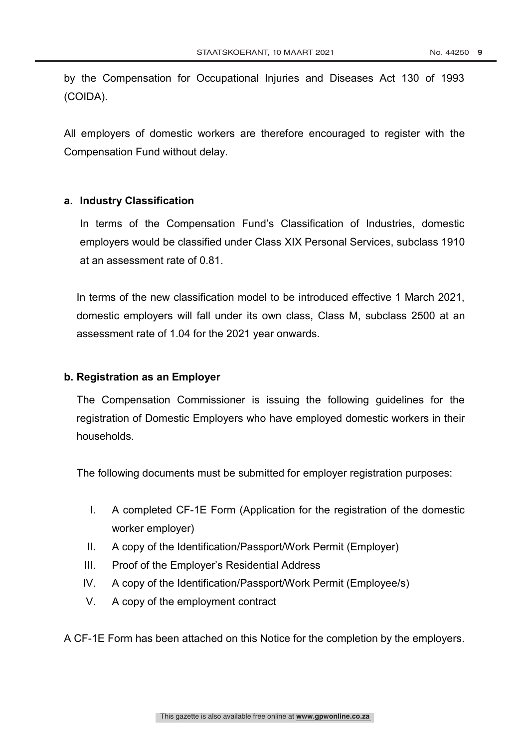by the Compensation for Occupational Injuries and Diseases Act 130 of 1993 (COIDA).

All employers of domestic workers are therefore encouraged to register with the Compensation Fund without delay.

#### **a. Industry Classification**

In terms of the Compensation Fund's Classification of Industries, domestic employers would be classified under Class XIX Personal Services, subclass 1910 at an assessment rate of 0.81.

In terms of the new classification model to be introduced effective 1 March 2021, domestic employers will fall under its own class, Class M, subclass 2500 at an assessment rate of 1.04 for the 2021 year onwards.

#### **b. Registration as an Employer**

The Compensation Commissioner is issuing the following guidelines for the registration of Domestic Employers who have employed domestic workers in their households.

The following documents must be submitted for employer registration purposes:

- I. A completed CF-1E Form (Application for the registration of the domestic worker employer)
- II. A copy of the Identification/Passport/Work Permit (Employer)
- III. Proof of the Employer's Residential Address
- IV. A copy of the Identification/Passport/Work Permit (Employee/s)
- V. A copy of the employment contract

A CF-1E Form has been attached on this Notice for the completion by the employers.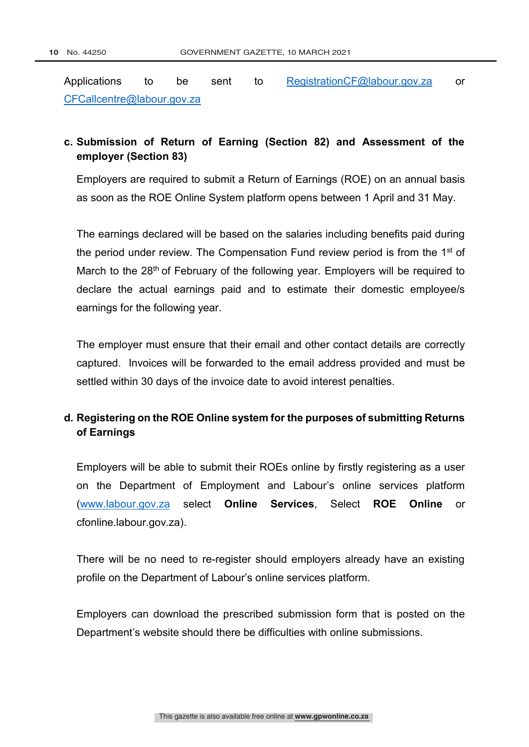Applications to be sent to RegistrationCF@labour.gov.za or CFCallcentre@labour.gov.za

#### **c. Submission of Return of Earning (Section 82) and Assessment of the employer (Section 83)**

Employers are required to submit a Return of Earnings (ROE) on an annual basis as soon as the ROE Online System platform opens between 1 April and 31 May.

The earnings declared will be based on the salaries including benefits paid during the period under review. The Compensation Fund review period is from the 1st of March to the 28<sup>th</sup> of February of the following year. Employers will be required to declare the actual earnings paid and to estimate their domestic employee/s earnings for the following year.

The employer must ensure that their email and other contact details are correctly captured. Invoices will be forwarded to the email address provided and must be settled within 30 days of the invoice date to avoid interest penalties.

### **d. Registering on the ROE Online system for the purposes of submitting Returns of Earnings**

Employers will be able to submit their ROEs online by firstly registering as a user on the Department of Employment and Labour's online services platform (www.labour.gov.za select **Online Services**, Select **ROE Online** or cfonline.labour.gov.za).

There will be no need to re-register should employers already have an existing profile on the Department of Labour's online services platform.

Employers can download the prescribed submission form that is posted on the Department's website should there be difficulties with online submissions.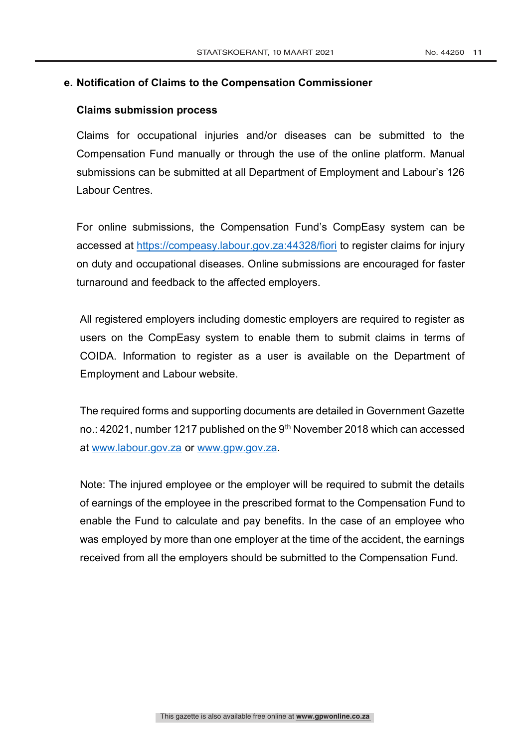#### **e. Notification of Claims to the Compensation Commissioner**

#### **Claims submission process**

Claims for occupational injuries and/or diseases can be submitted to the Compensation Fund manually or through the use of the online platform. Manual submissions can be submitted at all Department of Employment and Labour's 126 Labour Centres.

For online submissions, the Compensation Fund's CompEasy system can be accessed at https://compeasy.labour.gov.za:44328/fiori to register claims for injury on duty and occupational diseases. Online submissions are encouraged for faster turnaround and feedback to the affected employers.

All registered employers including domestic employers are required to register as users on the CompEasy system to enable them to submit claims in terms of COIDA. Information to register as a user is available on the Department of Employment and Labour website.

The required forms and supporting documents are detailed in Government Gazette no.: 42021, number 1217 published on the 9<sup>th</sup> November 2018 which can accessed at www.labour.gov.za or www.gpw.gov.za.

Note: The injured employee or the employer will be required to submit the details of earnings of the employee in the prescribed format to the Compensation Fund to enable the Fund to calculate and pay benefits. In the case of an employee who was employed by more than one employer at the time of the accident, the earnings received from all the employers should be submitted to the Compensation Fund.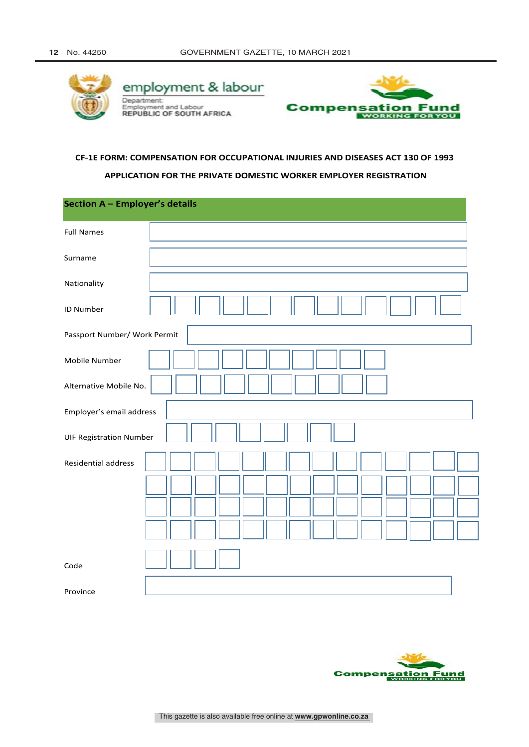



#### **CF-1E FORM: COMPENSATION FOR OCCUPATIONAL INJURIES AND DISEASES ACT 130 OF 1993**

#### **APPLICATION FOR THE PRIVATE DOMESTIC WORKER EMPLOYER REGISTRATION**

| <b>Section A - Employer's details</b> |  |
|---------------------------------------|--|
| <b>Full Names</b>                     |  |
| Surname                               |  |
| Nationality                           |  |
| ID Number                             |  |
| Passport Number/ Work Permit          |  |
| Mobile Number                         |  |
| Alternative Mobile No.                |  |
| Employer's email address              |  |
| <b>UIF Registration Number</b>        |  |
| Residential address                   |  |
|                                       |  |
|                                       |  |
|                                       |  |
| Code                                  |  |
| Province                              |  |

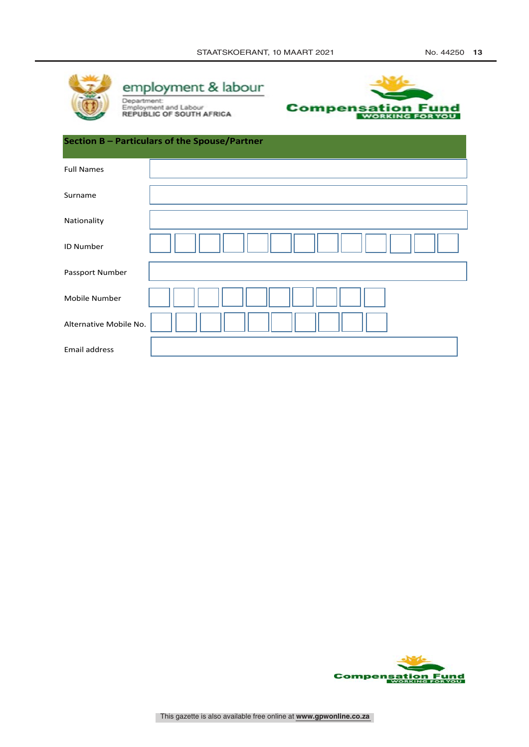

**employment & labour**<br> **Employment and Labour**<br> **REPUBLIC OF SOUTH AFRICA** 



| Section B - Particulars of the Spouse/Partner |  |  |  |  |  |  |  |
|-----------------------------------------------|--|--|--|--|--|--|--|
| <b>Full Names</b>                             |  |  |  |  |  |  |  |
| Surname                                       |  |  |  |  |  |  |  |
| Nationality                                   |  |  |  |  |  |  |  |
| <b>ID Number</b>                              |  |  |  |  |  |  |  |
| Passport Number                               |  |  |  |  |  |  |  |
| Mobile Number                                 |  |  |  |  |  |  |  |
| Alternative Mobile No.                        |  |  |  |  |  |  |  |
| Email address                                 |  |  |  |  |  |  |  |

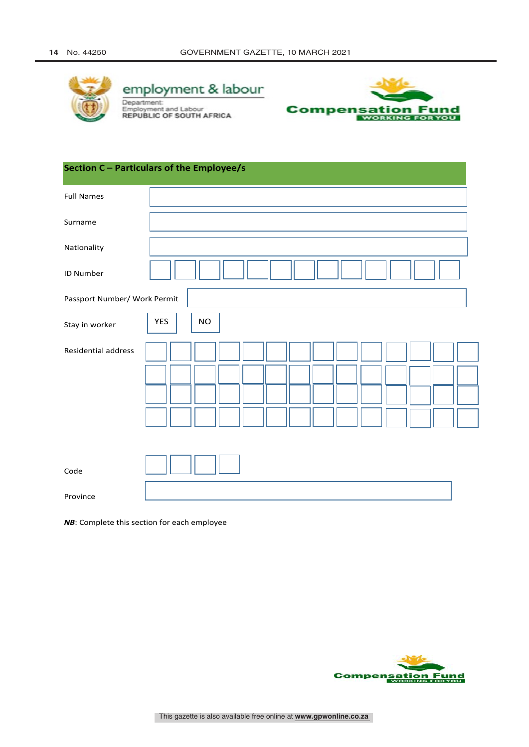

employment & labour Department: Employment and Labour<br>REPUBLIC OF SOUTH AFRICA



| Section C - Particulars of the Employee/s |                         |  |  |  |  |
|-------------------------------------------|-------------------------|--|--|--|--|
| <b>Full Names</b>                         |                         |  |  |  |  |
| Surname                                   |                         |  |  |  |  |
| Nationality                               |                         |  |  |  |  |
| ID Number                                 |                         |  |  |  |  |
| Passport Number/ Work Permit              |                         |  |  |  |  |
| Stay in worker                            | <b>YES</b><br><b>NO</b> |  |  |  |  |
| <b>Residential address</b>                |                         |  |  |  |  |
| Code<br>Province                          |                         |  |  |  |  |

*NB*: Complete this section for each employee

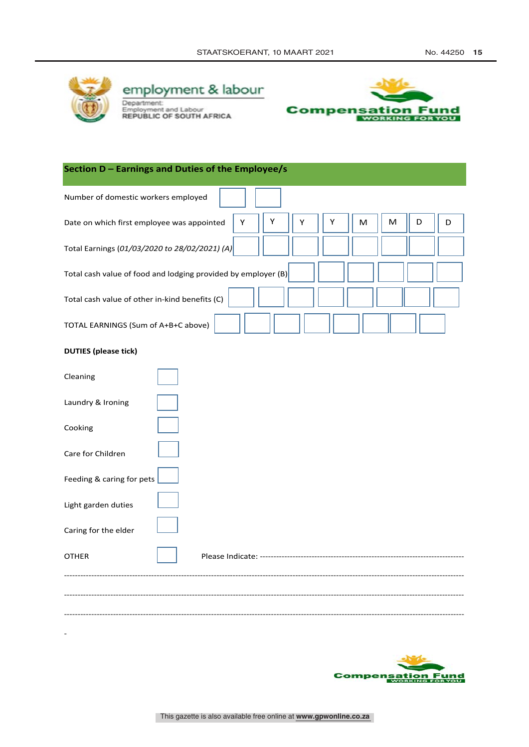

employment & labour Department:<br>Employment and Labour<br>REPUBLIC OF SOUTH AFRICA



| Section D - Earnings and Duties of the Employee/s                                  |
|------------------------------------------------------------------------------------|
| Number of domestic workers employed                                                |
| Υ<br>Υ<br>M<br>D<br>Date on which first employee was appointed<br>Υ<br>M<br>D<br>Y |
| Total Earnings (01/03/2020 to 28/02/2021) (A)                                      |
| Total cash value of food and lodging provided by employer (B)                      |
| Total cash value of other in-kind benefits (C)                                     |
| TOTAL EARNINGS (Sum of A+B+C above)                                                |
| <b>DUTIES (please tick)</b>                                                        |
| Cleaning                                                                           |
| Laundry & Ironing                                                                  |
| Cooking                                                                            |
| Care for Children                                                                  |
| Feeding & caring for pets                                                          |
| Light garden duties                                                                |
| Caring for the elder                                                               |
| <b>OTHER</b>                                                                       |
|                                                                                    |
|                                                                                    |
|                                                                                    |

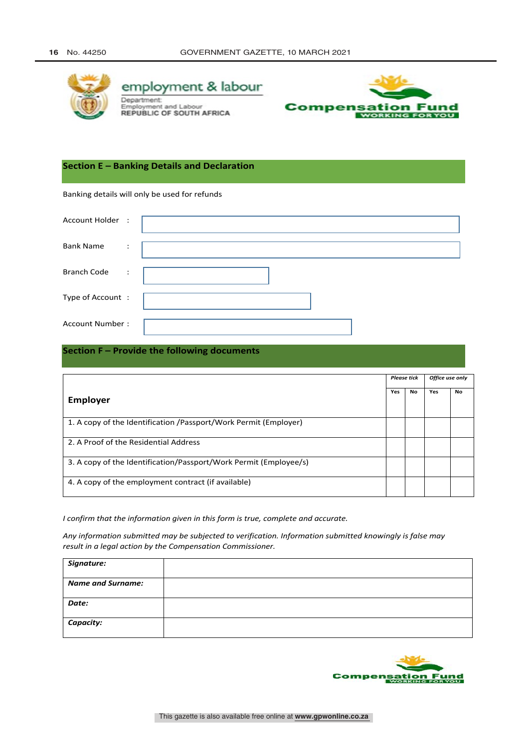

employment & labour Department: oyment and Labour **REPUBLIC OF SOUTH AFRICA** 



#### **Section E – Banking Details and Declaration**

Banking details will only be used for refunds

| Account Holder :   |                      |  |
|--------------------|----------------------|--|
| <b>Bank Name</b>   | ٠<br>$\cdot$         |  |
| <b>Branch Code</b> | $\ddot{\phantom{a}}$ |  |
| Type of Account:   |                      |  |
| Account Number:    |                      |  |

#### **Section F – Provide the following documents**

|                                                                   | <b>Please tick</b> |    | Office use only |    |
|-------------------------------------------------------------------|--------------------|----|-----------------|----|
| <b>Employer</b>                                                   | Yes                | No | Yes             | No |
| 1. A copy of the Identification /Passport/Work Permit (Employer)  |                    |    |                 |    |
| 2. A Proof of the Residential Address                             |                    |    |                 |    |
| 3. A copy of the Identification/Passport/Work Permit (Employee/s) |                    |    |                 |    |
| 4. A copy of the employment contract (if available)               |                    |    |                 |    |

*I confirm that the information given in this form is true, complete and accurate.*

*Any information submitted may be subjected to verification. Information submitted knowingly is false may result in a legal action by the Compensation Commissioner.*

| Signature:               |  |
|--------------------------|--|
| <b>Name and Surname:</b> |  |
| Date:                    |  |
| Capacity:                |  |

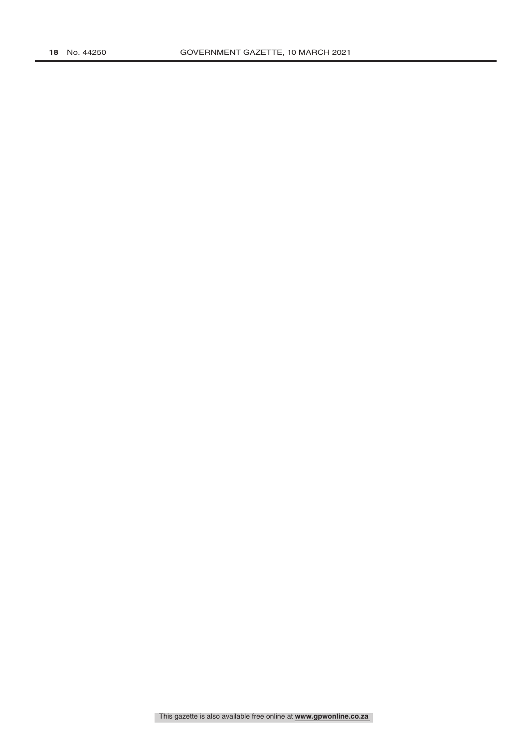This gazette is also available free online at **www.gpwonline.co.za**